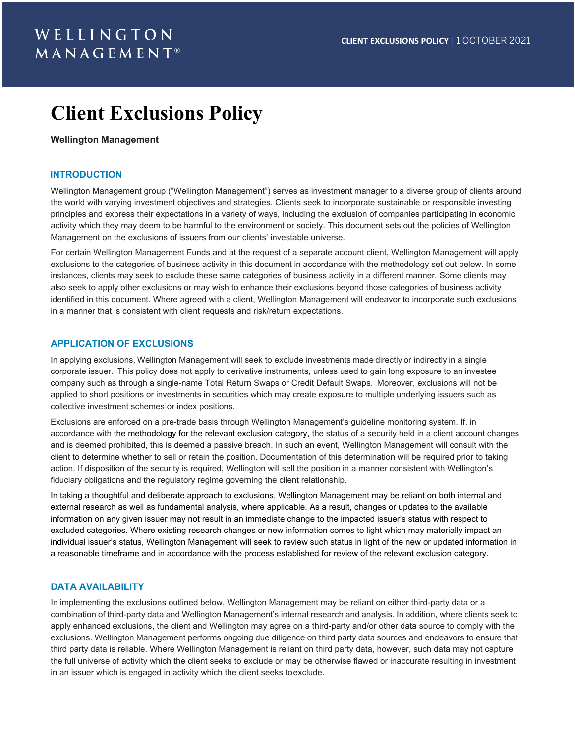# **Client Exclusions Policy**

#### **Wellington Management**

#### **INTRODUCTION**

Wellington Management group ("Wellington Management") serves as investment manager to a diverse group of clients around the world with varying investment objectives and strategies. Clients seek to incorporate sustainable or responsible investing principles and express their expectations in a variety of ways, including the exclusion of companies participating in economic activity which they may deem to be harmful to the environment or society. This document sets out the policies of Wellington Management on the exclusions of issuers from our clients' investable universe.

For certain Wellington Management Funds and at the request of a separate account client, Wellington Management will apply exclusions to the categories of business activity in this document in accordance with the methodology set out below. In some instances, clients may seek to exclude these same categories of business activity in a different manner. Some clients may also seek to apply other exclusions or may wish to enhance their exclusions beyond those categories of business activity identified in this document. Where agreed with a client, Wellington Management will endeavor to incorporate such exclusions in a manner that is consistent with client requests and risk/return expectations.

#### **APPLICATION OF EXCLUSIONS**

In applying exclusions, Wellington Management will seek to exclude investments made directly or indirectly in a single corporate issuer.  This policy does not apply to derivative instruments, unless used to gain long exposure to an investee company such as through a single-name Total Return Swaps or Credit Default Swaps.  Moreover, exclusions will not be applied to short positions or investments in securities which may create exposure to multiple underlying issuers such as collective investment schemes or index positions.

Exclusions are enforced on a pre-trade basis through Wellington Management's guideline monitoring system. If, in accordance with the methodology for the relevant exclusion category, the status of a security held in a client account changes and is deemed prohibited, this is deemed a passive breach. In such an event, Wellington Management will consult with the client to determine whether to sell or retain the position. Documentation of this determination will be required prior to taking action. If disposition of the security is required, Wellington will sell the position in a manner consistent with Wellington's fiduciary obligations and the regulatory regime governing the client relationship.

In taking a thoughtful and deliberate approach to exclusions, Wellington Management may be reliant on both internal and external research as well as fundamental analysis, where applicable. As a result, changes or updates to the available information on any given issuer may not result in an immediate change to the impacted issuer's status with respect to excluded categories. Where existing research changes or new information comes to light which may materially impact an individual issuer's status, Wellington Management will seek to review such status in light of the new or updated information in a reasonable timeframe and in accordance with the process established for review of the relevant exclusion category.

#### **DATA AVAILABILITY**

In implementing the exclusions outlined below, Wellington Management may be reliant on either third-party data or a combination of third-party data and Wellington Management's internal research and analysis. In addition, where clients seek to apply enhanced exclusions, the client and Wellington may agree on a third-party and/or other data source to comply with the exclusions. Wellington Management performs ongoing due diligence on third party data sources and endeavors to ensure that third party data is reliable. Where Wellington Management is reliant on third party data, however, such data may not capture the full universe of activity which the client seeks to exclude or may be otherwise flawed or inaccurate resulting in investment in an issuer which is engaged in activity which the client seeks toexclude.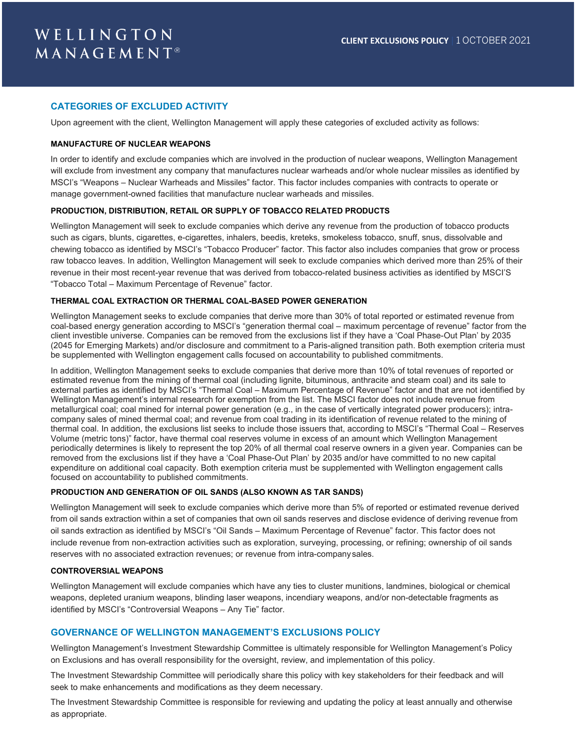### **CATEGORIES OF EXCLUDED ACTIVITY**

Upon agreement with the client, Wellington Management will apply these categories of excluded activity as follows:

#### **MANUFACTURE OF NUCLEAR WEAPONS**

In order to identify and exclude companies which are involved in the production of nuclear weapons, Wellington Management will exclude from investment any company that manufactures nuclear warheads and/or whole nuclear missiles as identified by MSCI's "Weapons – Nuclear Warheads and Missiles" factor. This factor includes companies with contracts to operate or manage government-owned facilities that manufacture nuclear warheads and missiles.

#### **PRODUCTION, DISTRIBUTION, RETAIL OR SUPPLY OF TOBACCO RELATED PRODUCTS**

Wellington Management will seek to exclude companies which derive any revenue from the production of tobacco products such as cigars, blunts, cigarettes, e-cigarettes, inhalers, beedis, kreteks, smokeless tobacco, snuff, snus, dissolvable and chewing tobacco as identified by MSCI's "Tobacco Producer" factor. This factor also includes companies that grow or process raw tobacco leaves. In addition, Wellington Management will seek to exclude companies which derived more than 25% of their revenue in their most recent-year revenue that was derived from tobacco-related business activities as identified by MSCI'S "Tobacco Total – Maximum Percentage of Revenue" factor.

## **THERMAL COAL EXTRACTION OR THERMAL COAL-BASED POWER GENERATION**

Wellington Management seeks to exclude companies that derive more than 30% of total reported or estimated revenue from coal-based energy generation according to MSCI's "generation thermal coal – maximum percentage of revenue" factor from the client investible universe. Companies can be removed from the exclusions list if they have a 'Coal Phase-Out Plan' by 2035 (2045 for Emerging Markets) and/or disclosure and commitment to a Paris-aligned transition path. Both exemption criteria must be supplemented with Wellington engagement calls focused on accountability to published commitments.

In addition, Wellington Management seeks to exclude companies that derive more than 10% of total revenues of reported or estimated revenue from the mining of thermal coal (including lignite, bituminous, anthracite and steam coal) and its sale to external parties as identified by MSCI's "Thermal Coal – Maximum Percentage of Revenue" factor and that are not identified by Wellington Management's internal research for exemption from the list. The MSCI factor does not include revenue from metallurgical coal; coal mined for internal power generation (e.g., in the case of vertically integrated power producers); intracompany sales of mined thermal coal; and revenue from coal trading in its identification of revenue related to the mining of thermal coal. In addition, the exclusions list seeks to include those issuers that, according to MSCI's "Thermal Coal – Reserves Volume (metric tons)" factor, have thermal coal reserves volume in excess of an amount which Wellington Management periodically determines is likely to represent the top 20% of all thermal coal reserve owners in a given year. Companies can be removed from the exclusions list if they have a 'Coal Phase-Out Plan' by 2035 and/or have committed to no new capital expenditure on additional coal capacity. Both exemption criteria must be supplemented with Wellington engagement calls focused on accountability to published commitments.

#### **PRODUCTION AND GENERATION OF OIL SANDS (ALSO KNOWN AS TAR SANDS)**

Wellington Management will seek to exclude companies which derive more than 5% of reported or estimated revenue derived from oil sands extraction within a set of companies that own oil sands reserves and disclose evidence of deriving revenue from oil sands extraction as identified by MSCI's "Oil Sands – Maximum Percentage of Revenue" factor. This factor does not include revenue from non-extraction activities such as exploration, surveying, processing, or refining; ownership of oil sands reserves with no associated extraction revenues; or revenue from intra-companysales.

#### **CONTROVERSIAL WEAPONS**

Wellington Management will exclude companies which have any ties to cluster munitions, landmines, biological or chemical weapons, depleted uranium weapons, blinding laser weapons, incendiary weapons, and/or non-detectable fragments as identified by MSCI's "Controversial Weapons – Any Tie" factor.

#### **GOVERNANCE OF WELLINGTON MANAGEMENT'S EXCLUSIONS POLICY**

Wellington Management's Investment Stewardship Committee is ultimately responsible for Wellington Management's Policy on Exclusions and has overall responsibility for the oversight, review, and implementation of this policy.

The Investment Stewardship Committee will periodically share this policy with key stakeholders for their feedback and will seek to make enhancements and modifications as they deem necessary.

The Investment Stewardship Committee is responsible for reviewing and updating the policy at least annually and otherwise as appropriate.